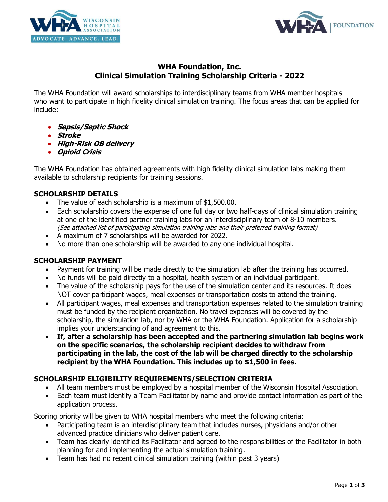



# **WHA Foundation, Inc. Clinical Simulation Training Scholarship Criteria - 2022**

The WHA Foundation will award scholarships to interdisciplinary teams from WHA member hospitals who want to participate in high fidelity clinical simulation training. The focus areas that can be applied for include:

- **Sepsis/Septic Shock**
- **Stroke**
- **High-Risk OB delivery**
- **Opioid Crisis**

The WHA Foundation has obtained agreements with high fidelity clinical simulation labs making them available to scholarship recipients for training sessions.

### **SCHOLARSHIP DETAILS**

- The value of each scholarship is a maximum of \$1,500.00.
- Each scholarship covers the expense of one full day or two half-days of clinical simulation training at one of the identified partner training labs for an interdisciplinary team of 8-10 members. (See attached list of participating simulation training labs and their preferred training format)
- A maximum of 7 scholarships will be awarded for 2022.
- No more than one scholarship will be awarded to any one individual hospital.

#### **SCHOLARSHIP PAYMENT**

- Payment for training will be made directly to the simulation lab after the training has occurred.
- No funds will be paid directly to a hospital, health system or an individual participant.
- The value of the scholarship pays for the use of the simulation center and its resources. It does NOT cover participant wages, meal expenses or transportation costs to attend the training.
- All participant wages, meal expenses and transportation expenses related to the simulation training must be funded by the recipient organization. No travel expenses will be covered by the scholarship, the simulation lab, nor by WHA or the WHA Foundation. Application for a scholarship implies your understanding of and agreement to this.
- **If, after a scholarship has been accepted and the partnering simulation lab begins work on the specific scenarios, the scholarship recipient decides to withdraw from participating in the lab, the cost of the lab will be charged directly to the scholarship recipient by the WHA Foundation. This includes up to \$1,500 in fees.**

#### **SCHOLARSHIP ELIGIBILITY REQUIREMENTS/SELECTION CRITERIA**

- All team members must be employed by a hospital member of the Wisconsin Hospital Association.
- Each team must identify a Team Facilitator by name and provide contact information as part of the application process.

Scoring priority will be given to WHA hospital members who meet the following criteria:

- Participating team is an interdisciplinary team that includes nurses, physicians and/or other advanced practice clinicians who deliver patient care.
- Team has clearly identified its Facilitator and agreed to the responsibilities of the Facilitator in both planning for and implementing the actual simulation training.
- Team has had no recent clinical simulation training (within past 3 years)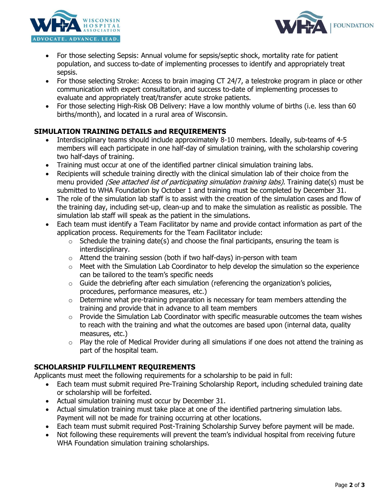



- For those selecting Sepsis: Annual volume for sepsis/septic shock, mortality rate for patient population, and success to-date of implementing processes to identify and appropriately treat sepsis.
- For those selecting Stroke: Access to brain imaging CT 24/7, a telestroke program in place or other communication with expert consultation, and success to-date of implementing processes to evaluate and appropriately treat/transfer acute stroke patients.
- For those selecting High-Risk OB Delivery: Have a low monthly volume of births (i.e. less than 60 births/month), and located in a rural area of Wisconsin.

# **SIMULATION TRAINING DETAILS and REQUIREMENTS**

- Interdisciplinary teams should include approximately 8-10 members. Ideally, sub-teams of 4-5 members will each participate in one half-day of simulation training, with the scholarship covering two half-days of training.
- Training must occur at one of the identified partner clinical simulation training labs.
- Recipients will schedule training directly with the clinical simulation lab of their choice from the menu provided *(See attached list of participating simulation training labs)*. Training date(s) must be submitted to WHA Foundation by October 1 and training must be completed by December 31.
- The role of the simulation lab staff is to assist with the creation of the simulation cases and flow of the training day, including set-up, clean-up and to make the simulation as realistic as possible. The simulation lab staff will speak as the patient in the simulations.
- Each team must identify a Team Facilitator by name and provide contact information as part of the application process. Requirements for the Team Facilitator include:
	- $\circ$  Schedule the training date(s) and choose the final participants, ensuring the team is interdisciplinary.
	- $\circ$  Attend the training session (both if two half-days) in-person with team
	- $\circ$  Meet with the Simulation Lab Coordinator to help develop the simulation so the experience can be tailored to the team's specific needs
	- $\circ$  Guide the debriefing after each simulation (referencing the organization's policies, procedures, performance measures, etc.)
	- o Determine what pre-training preparation is necessary for team members attending the training and provide that in advance to all team members
	- o Provide the Simulation Lab Coordinator with specific measurable outcomes the team wishes to reach with the training and what the outcomes are based upon (internal data, quality measures, etc.)
	- $\circ$  Play the role of Medical Provider during all simulations if one does not attend the training as part of the hospital team.

## **SCHOLARSHIP FULFILLMENT REQUIREMENTS**

Applicants must meet the following requirements for a scholarship to be paid in full:

- Each team must submit required Pre-Training Scholarship Report, including scheduled training date or scholarship will be forfeited.
- Actual simulation training must occur by December 31.
- Actual simulation training must take place at one of the identified partnering simulation labs. Payment will not be made for training occurring at other locations.
- Each team must submit required Post-Training Scholarship Survey before payment will be made.
- Not following these requirements will prevent the team's individual hospital from receiving future WHA Foundation simulation training scholarships.